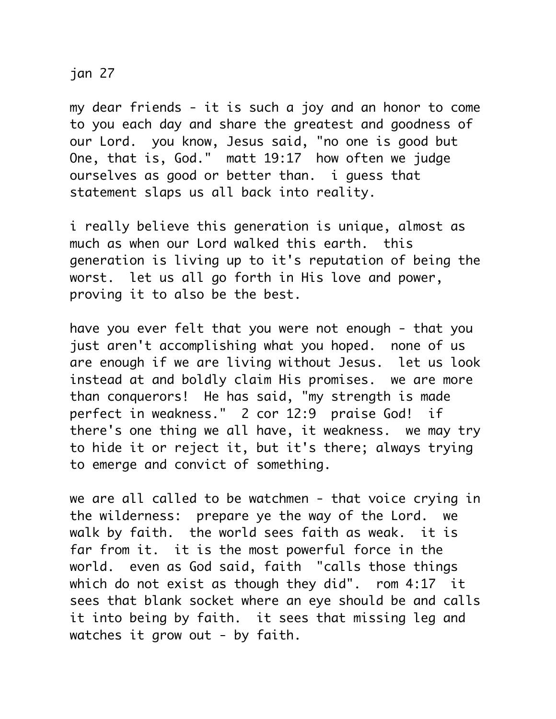## jan 27

my dear friends - it is such a joy and an honor to come to you each day and share the greatest and goodness of our Lord. you know, Jesus said, "no one is good but One, that is, God." matt 19:17 how often we judge ourselves as good or better than. i guess that statement slaps us all back into reality.

i really believe this generation is unique, almost as much as when our Lord walked this earth. this generation is living up to it's reputation of being the worst. let us all go forth in His love and power, proving it to also be the best.

have you ever felt that you were not enough - that you just aren't accomplishing what you hoped. none of us are enough if we are living without Jesus. let us look instead at and boldly claim His promises. we are more than conquerors! He has said, "my strength is made perfect in weakness." 2 cor 12:9 praise God! if there's one thing we all have, it weakness. we may try to hide it or reject it, but it's there; always trying to emerge and convict of something.

we are all called to be watchmen - that voice crying in the wilderness: prepare ye the way of the Lord. we walk by faith. the world sees faith as weak. it is far from it. it is the most powerful force in the world. even as God said, faith "calls those things which do not exist as though they did". rom 4:17 it sees that blank socket where an eye should be and calls it into being by faith. it sees that missing leg and watches it grow out - by faith.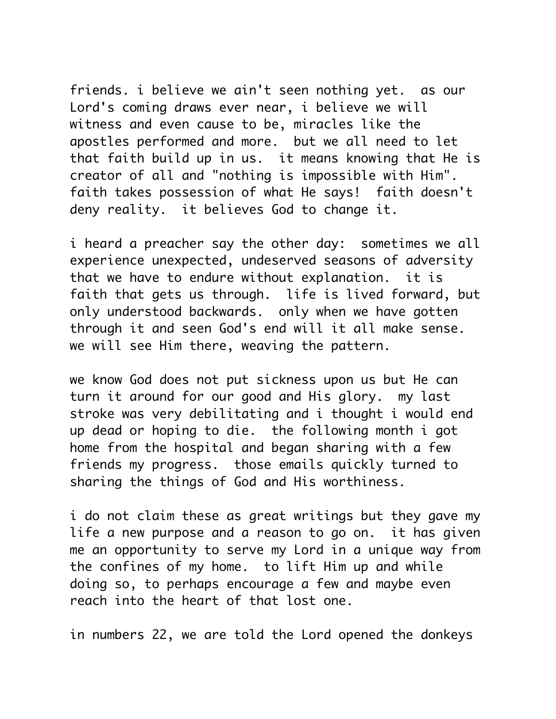friends. i believe we ain't seen nothing yet. as our Lord's coming draws ever near, i believe we will witness and even cause to be, miracles like the apostles performed and more. but we all need to let that faith build up in us. it means knowing that He is creator of all and "nothing is impossible with Him". faith takes possession of what He says! faith doesn't deny reality. it believes God to change it.

i heard a preacher say the other day: sometimes we all experience unexpected, undeserved seasons of adversity that we have to endure without explanation. it is faith that gets us through. life is lived forward, but only understood backwards. only when we have gotten through it and seen God's end will it all make sense. we will see Him there, weaving the pattern.

we know God does not put sickness upon us but He can turn it around for our good and His glory. my last stroke was very debilitating and i thought i would end up dead or hoping to die. the following month i got home from the hospital and began sharing with a few friends my progress. those emails quickly turned to sharing the things of God and His worthiness.

i do not claim these as great writings but they gave my life a new purpose and a reason to go on. it has given me an opportunity to serve my Lord in a unique way from the confines of my home. to lift Him up and while doing so, to perhaps encourage a few and maybe even reach into the heart of that lost one.

in numbers 22, we are told the Lord opened the donkeys